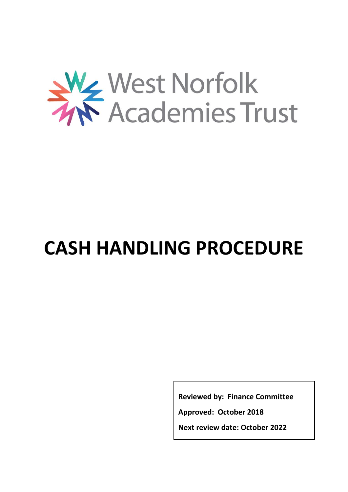

# **CASH HANDLING PROCEDURE**

**Reviewed by: Finance Committee**

**Approved: October 2018**

**Next review date: October 2022**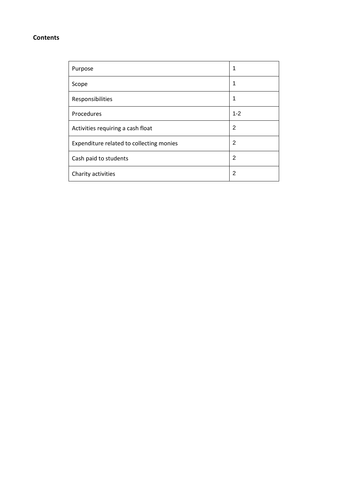#### **Contents**

| Purpose                                  |                |
|------------------------------------------|----------------|
| Scope                                    | 1              |
| Responsibilities                         | 1              |
| Procedures                               | $1 - 2$        |
| Activities requiring a cash float        | $\overline{2}$ |
| Expenditure related to collecting monies | 2              |
| Cash paid to students                    | 2              |
| Charity activities                       | $\overline{2}$ |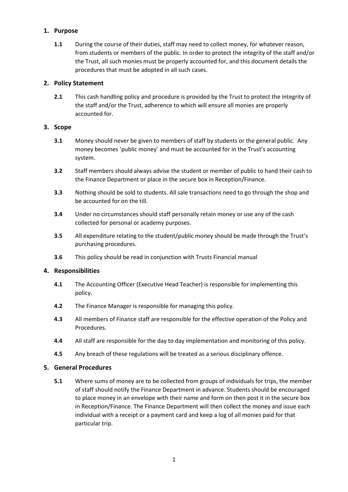## **1. Purpose**

**1.1** During the course of their duties, staff may need to collect money, for whatever reason, from students or members of the public. In order to protect the integrity of the staff and/or the Trust, all such monies must be properly accounted for, and this document details the procedures that must be adopted in all such cases.

## **2. Policy Statement**

**2.1** This cash handling policy and procedure is provided by the Trust to protect the integrity of the staff and/or the Trust, adherence to which will ensure all monies are properly accounted for.

## **3. Scope**

- **3.1** Money should never be given to members of staff by students or the general public. Any money becomes 'public money' and must be accounted for in the Trust's accounting system.
- **3.2** Staff members should always advise the student or member of public to hand their cash to the Finance Department or place in the secure box in Reception/Finance.
- **3.3** Nothing should be sold to students. All sale transactions need to go through the shop and be accounted for on the till.
- **3.4** Under no circumstances should staff personally retain money or use any of the cash collected for personal or academy purposes.
- **3.5** All expenditure relating to the student/public money should be made through the Trust's purchasing procedures.
- **3.6** This policy should be read in conjunction with Trusts Financial manual

#### **4. Responsibilities**

- **4.1** The Accounting Officer (Executive Head Teacher) is responsible for implementing this policy.
- **4.2** The Finance Manager is responsible for managing this policy.
- **4.3** All members of Finance staff are responsible for the effective operation of the Policy and Procedures.
- **4.4** All staff are responsible for the day to day implementation and monitoring of this policy.
- **4.5** Any breach of these regulations will be treated as a serious disciplinary offence.

#### **5. General Procedures**

**5.1** Where sums of money are to be collected from groups of individuals for trips, the member of staff should notify the Finance Department in advance. Students should be encouraged to place money in an envelope with their name and form on then post it in the secure box in Reception/Finance. The Finance Department will then collect the money and issue each individual with a receipt or a payment card and keep a log of all monies paid for that particular trip.